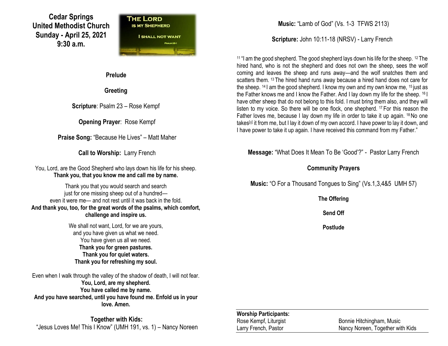# **Cedar Springs United Methodist Church Sunday - April 25, 2021 9:30 a.m.**



**Prelude**

**Greeting**

**Scripture**: Psalm 23 – Rose Kempf

**Opening Prayer**: Rose Kempf

**Praise Song:** "Because He Lives" – Matt Maher

**Call to Worship:** Larry French

You, Lord, are the Good Shepherd who lays down his life for his sheep. **Thank you, that you know me and call me by name.**

Thank you that you would search and search just for one missing sheep out of a hundred even it were me— and not rest until it was back in the fold. **And thank you, too, for the great words of the psalms, which comfort, challenge and inspire us.**

> We shall not want, Lord, for we are yours, and you have given us what we need. You have given us all we need. **Thank you for green pastures. Thank you for quiet waters. Thank you for refreshing my soul.**

Even when I walk through the valley of the shadow of death, I will not fear. **You, Lord, are my shepherd. You have called me by name. And you have searched, until you have found me. Enfold us in your love. Amen.**

**Together with Kids:** "Jesus Loves Me! This I Know" (UMH 191, vs. 1) – Nancy Noreen **Music:** "Lamb of God" (Vs. 1-3 TFWS 2113)

**Scripture:** John 10:11-18 (NRSV) - Larry French

<sup>11</sup> "I am the good shepherd. The good shepherd lays down his life for the sheep. <sup>12</sup> The hired hand, who is not the shepherd and does not own the sheep, sees the wolf coming and leaves the sheep and runs away—and the wolf snatches them and scatters them. <sup>13</sup> The hired hand runs away because a hired hand does not care for the sheep. <sup>14</sup> I am the good shepherd. I know my own and my own know me, <sup>15</sup> just as the Father knows me and I know the Father. And I lay down my life for the sheep. <sup>16</sup> I have other sheep that do not belong to this fold. I must bring them also, and they will listen to my voice. So there will be one flock, one shepherd. <sup>17</sup> For this reason the Father loves me, because I lay down my life in order to take it up again. <sup>18</sup>No one takes<sup>[\[a\]](https://www.biblegateway.com/passage/?search=John+10%3A11-18&version=NRSV#fen-NRSV-26489a)</sup> it from me, but I lay it down of my own accord. I have power to lay it down, and I have power to take it up again. I have received this command from my Father."

**Message:** "What Does It Mean To Be 'Good'?" - Pastor Larry French

### **Community Prayers**

**Music:** "O For a Thousand Tongues to Sing" (Vs.1,3,4&5 UMH 57)

**The Offering**

**Send Off**

**Postlude**

#### **Worship Participants:**

Rose Kempf, Liturgist **Bonnie Hitchingham, Music** Larry French, Pastor Nancy Noreen, Together with Kids